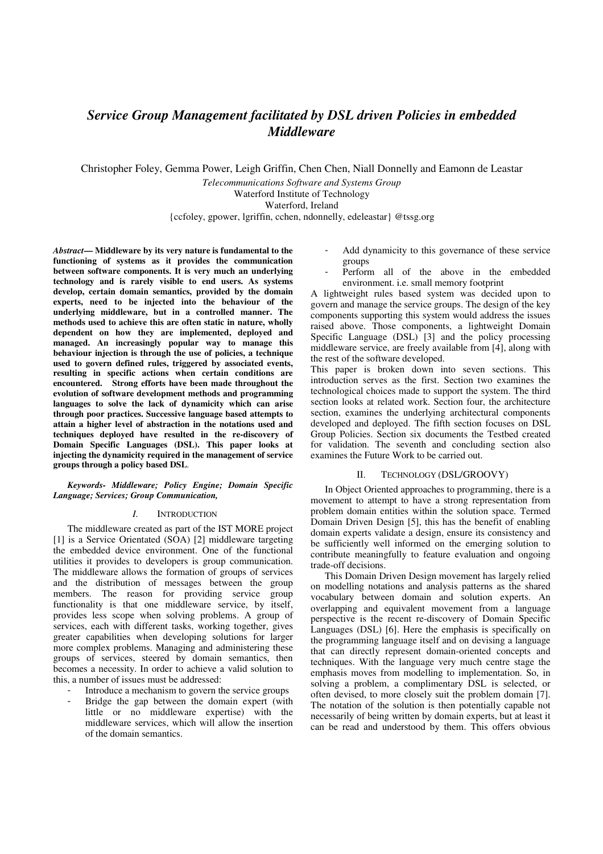# *Service Group Management facilitated by DSL driven Policies in embedded Middleware*

Christopher Foley, Gemma Power, Leigh Griffin, Chen Chen, Niall Donnelly and Eamonn de Leastar

*Telecommunications Software and Systems Group*  Waterford Institute of Technology Waterford, Ireland

{ccfoley, gpower, lgriffin, cchen, ndonnelly, edeleastar} @tssg.org

*Abstract***— Middleware by its very nature is fundamental to the functioning of systems as it provides the communication between software components. It is very much an underlying technology and is rarely visible to end users. As systems develop, certain domain semantics, provided by the domain experts, need to be injected into the behaviour of the underlying middleware, but in a controlled manner. The methods used to achieve this are often static in nature, wholly dependent on how they are implemented, deployed and managed. An increasingly popular way to manage this behaviour injection is through the use of policies, a technique used to govern defined rules, triggered by associated events, resulting in specific actions when certain conditions are encountered. Strong efforts have been made throughout the evolution of software development methods and programming languages to solve the lack of dynamicity which can arise through poor practices. Successive language based attempts to attain a higher level of abstraction in the notations used and techniques deployed have resulted in the re-discovery of Domain Specific Languages (DSL). This paper looks at injecting the dynamicity required in the management of service groups through a policy based DSL***.* 

## *Keywords- Middleware; Policy Engine; Domain Specific Language; Services; Group Communication,*

## *I.* INTRODUCTION

The middleware created as part of the IST MORE project [1] is a Service Orientated (SOA) [2] middleware targeting the embedded device environment. One of the functional utilities it provides to developers is group communication. The middleware allows the formation of groups of services and the distribution of messages between the group members. The reason for providing service group functionality is that one middleware service, by itself, provides less scope when solving problems. A group of services, each with different tasks, working together, gives greater capabilities when developing solutions for larger more complex problems. Managing and administering these groups of services, steered by domain semantics, then becomes a necessity. In order to achieve a valid solution to this, a number of issues must be addressed:

- Introduce a mechanism to govern the service groups
- Bridge the gap between the domain expert (with little or no middleware expertise) with the middleware services, which will allow the insertion of the domain semantics.
- Add dynamicity to this governance of these service groups
- Perform all of the above in the embedded environment. i.e. small memory footprint

A lightweight rules based system was decided upon to govern and manage the service groups. The design of the key components supporting this system would address the issues raised above. Those components, a lightweight Domain Specific Language (DSL) [3] and the policy processing middleware service, are freely available from [4], along with the rest of the software developed.

This paper is broken down into seven sections. This introduction serves as the first. Section two examines the technological choices made to support the system. The third section looks at related work. Section four, the architecture section, examines the underlying architectural components developed and deployed. The fifth section focuses on DSL Group Policies. Section six documents the Testbed created for validation. The seventh and concluding section also examines the Future Work to be carried out.

## II. TECHNOLOGY (DSL/GROOVY)

In Object Oriented approaches to programming, there is a movement to attempt to have a strong representation from problem domain entities within the solution space. Termed Domain Driven Design [5], this has the benefit of enabling domain experts validate a design, ensure its consistency and be sufficiently well informed on the emerging solution to contribute meaningfully to feature evaluation and ongoing trade-off decisions.

This Domain Driven Design movement has largely relied on modelling notations and analysis patterns as the shared vocabulary between domain and solution experts. An overlapping and equivalent movement from a language perspective is the recent re-discovery of Domain Specific Languages (DSL) [6]. Here the emphasis is specifically on the programming language itself and on devising a language that can directly represent domain-oriented concepts and techniques. With the language very much centre stage the emphasis moves from modelling to implementation. So, in solving a problem, a complimentary DSL is selected, or often devised, to more closely suit the problem domain [7]. The notation of the solution is then potentially capable not necessarily of being written by domain experts, but at least it can be read and understood by them. This offers obvious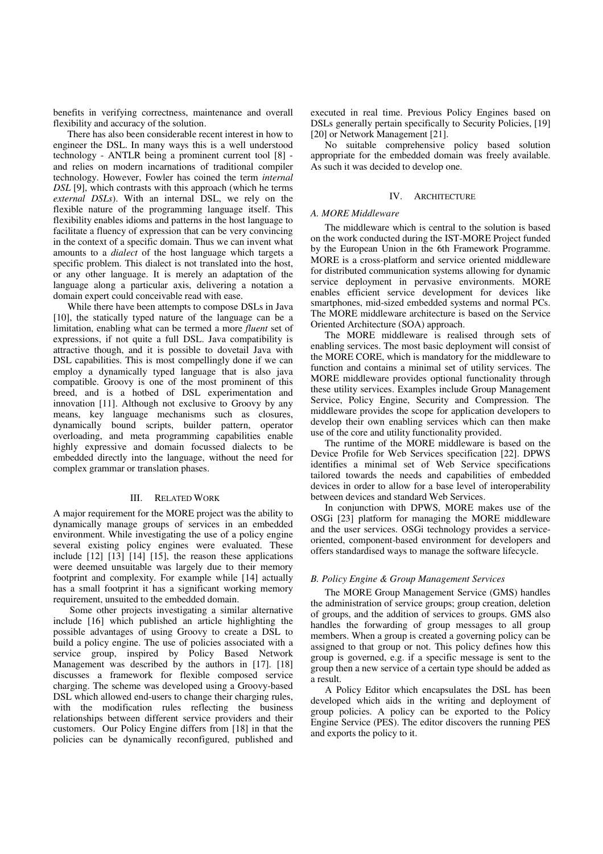benefits in verifying correctness, maintenance and overall flexibility and accuracy of the solution.

There has also been considerable recent interest in how to engineer the DSL. In many ways this is a well understood technology - ANTLR being a prominent current tool [8] and relies on modern incarnations of traditional compiler technology. However, Fowler has coined the term *internal DSL* [9], which contrasts with this approach (which he terms *external DSLs*). With an internal DSL, we rely on the flexible nature of the programming language itself. This flexibility enables idioms and patterns in the host language to facilitate a fluency of expression that can be very convincing in the context of a specific domain. Thus we can invent what amounts to a *dialect* of the host language which targets a specific problem. This dialect is not translated into the host, or any other language. It is merely an adaptation of the language along a particular axis, delivering a notation a domain expert could conceivable read with ease.

While there have been attempts to compose DSLs in Java [10], the statically typed nature of the language can be a limitation, enabling what can be termed a more *fluent* set of expressions, if not quite a full DSL. Java compatibility is attractive though, and it is possible to dovetail Java with DSL capabilities. This is most compellingly done if we can employ a dynamically typed language that is also java compatible. Groovy is one of the most prominent of this breed, and is a hotbed of DSL experimentation and innovation [11]. Although not exclusive to Groovy by any means, key language mechanisms such as closures, dynamically bound scripts, builder pattern, operator overloading, and meta programming capabilities enable highly expressive and domain focussed dialects to be embedded directly into the language, without the need for complex grammar or translation phases.

## III. RELATED WORK

A major requirement for the MORE project was the ability to dynamically manage groups of services in an embedded environment. While investigating the use of a policy engine several existing policy engines were evaluated. These include [12] [13] [14] [15], the reason these applications were deemed unsuitable was largely due to their memory footprint and complexity. For example while [14] actually has a small footprint it has a significant working memory requirement, unsuited to the embedded domain.

 Some other projects investigating a similar alternative include [16] which published an article highlighting the possible advantages of using Groovy to create a DSL to build a policy engine. The use of policies associated with a service group, inspired by Policy Based Network Management was described by the authors in [17]. [18] discusses a framework for flexible composed service charging. The scheme was developed using a Groovy-based DSL which allowed end-users to change their charging rules. with the modification rules reflecting the business relationships between different service providers and their customers. Our Policy Engine differs from [18] in that the policies can be dynamically reconfigured, published and executed in real time. Previous Policy Engines based on DSLs generally pertain specifically to Security Policies, [19] [20] or Network Management [21].

No suitable comprehensive policy based solution appropriate for the embedded domain was freely available. As such it was decided to develop one.

#### IV. ARCHITECTURE

#### *A. MORE Middleware*

The middleware which is central to the solution is based on the work conducted during the IST-MORE Project funded by the European Union in the 6th Framework Programme. MORE is a cross-platform and service oriented middleware for distributed communication systems allowing for dynamic service deployment in pervasive environments. MORE enables efficient service development for devices like smartphones, mid-sized embedded systems and normal PCs. The MORE middleware architecture is based on the Service Oriented Architecture (SOA) approach.

The MORE middleware is realised through sets of enabling services. The most basic deployment will consist of the MORE CORE, which is mandatory for the middleware to function and contains a minimal set of utility services. The MORE middleware provides optional functionality through these utility services. Examples include Group Management Service, Policy Engine, Security and Compression. The middleware provides the scope for application developers to develop their own enabling services which can then make use of the core and utility functionality provided.

The runtime of the MORE middleware is based on the Device Profile for Web Services specification [22]. DPWS identifies a minimal set of Web Service specifications tailored towards the needs and capabilities of embedded devices in order to allow for a base level of interoperability between devices and standard Web Services.

In conjunction with DPWS, MORE makes use of the OSGi [23] platform for managing the MORE middleware and the user services. OSGi technology provides a serviceoriented, component-based environment for developers and offers standardised ways to manage the software lifecycle.

## *B. Policy Engine & Group Management Services*

The MORE Group Management Service (GMS) handles the administration of service groups; group creation, deletion of groups, and the addition of services to groups. GMS also handles the forwarding of group messages to all group members. When a group is created a governing policy can be assigned to that group or not. This policy defines how this group is governed, e.g. if a specific message is sent to the group then a new service of a certain type should be added as a result.

A Policy Editor which encapsulates the DSL has been developed which aids in the writing and deployment of group policies. A policy can be exported to the Policy Engine Service (PES). The editor discovers the running PES and exports the policy to it.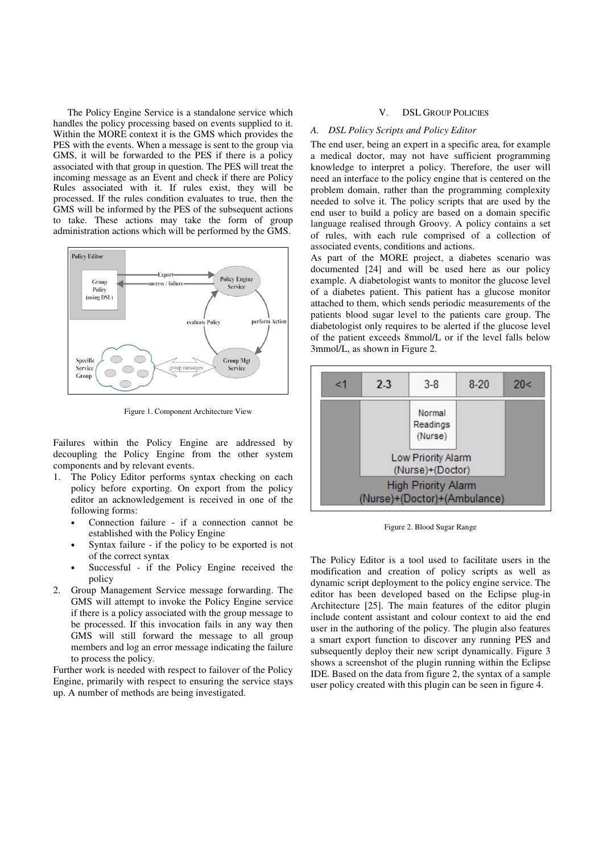The Policy Engine Service is a standalone service which handles the policy processing based on events supplied to it. Within the MORE context it is the GMS which provides the PES with the events. When a message is sent to the group via GMS, it will be forwarded to the PES if there is a policy associated with that group in question. The PES will treat the incoming message as an Event and check if there are Policy Rules associated with it. If rules exist, they will be processed. If the rules condition evaluates to true, then the GMS will be informed by the PES of the subsequent actions to take. These actions may take the form of group administration actions which will be performed by the GMS.



Figure 1. Component Architecture View

Failures within the Policy Engine are addressed by decoupling the Policy Engine from the other system components and by relevant events.

- 1. The Policy Editor performs syntax checking on each policy before exporting. On export from the policy editor an acknowledgement is received in one of the following forms:
	- Connection failure if a connection cannot be established with the Policy Engine
	- Syntax failure if the policy to be exported is not of the correct syntax
	- Successful if the Policy Engine received the policy
- 2. Group Management Service message forwarding. The GMS will attempt to invoke the Policy Engine service if there is a policy associated with the group message to be processed. If this invocation fails in any way then GMS will still forward the message to all group members and log an error message indicating the failure to process the policy.

Further work is needed with respect to failover of the Policy Engine, primarily with respect to ensuring the service stays up. A number of methods are being investigated.

## V. DSL GROUP POLICIES

# *A. DSL Policy Scripts and Policy Editor*

The end user, being an expert in a specific area, for example a medical doctor, may not have sufficient programming knowledge to interpret a policy. Therefore, the user will need an interface to the policy engine that is centered on the problem domain, rather than the programming complexity needed to solve it. The policy scripts that are used by the end user to build a policy are based on a domain specific language realised through Groovy. A policy contains a set of rules, with each rule comprised of a collection of associated events, conditions and actions.

As part of the MORE project, a diabetes scenario was documented [24] and will be used here as our policy example. A diabetologist wants to monitor the glucose level of a diabetes patient. This patient has a glucose monitor attached to them, which sends periodic measurements of the patients blood sugar level to the patients care group. The diabetologist only requires to be alerted if the glucose level of the patient exceeds 8mmol/L or if the level falls below 3mmol/L, as shown in Figure 2.



Figure 2. Blood Sugar Range

The Policy Editor is a tool used to facilitate users in the modification and creation of policy scripts as well as dynamic script deployment to the policy engine service. The editor has been developed based on the Eclipse plug-in Architecture [25]. The main features of the editor plugin include content assistant and colour context to aid the end user in the authoring of the policy. The plugin also features a smart export function to discover any running PES and subsequently deploy their new script dynamically. Figure 3 shows a screenshot of the plugin running within the Eclipse IDE. Based on the data from figure 2, the syntax of a sample user policy created with this plugin can be seen in figure 4.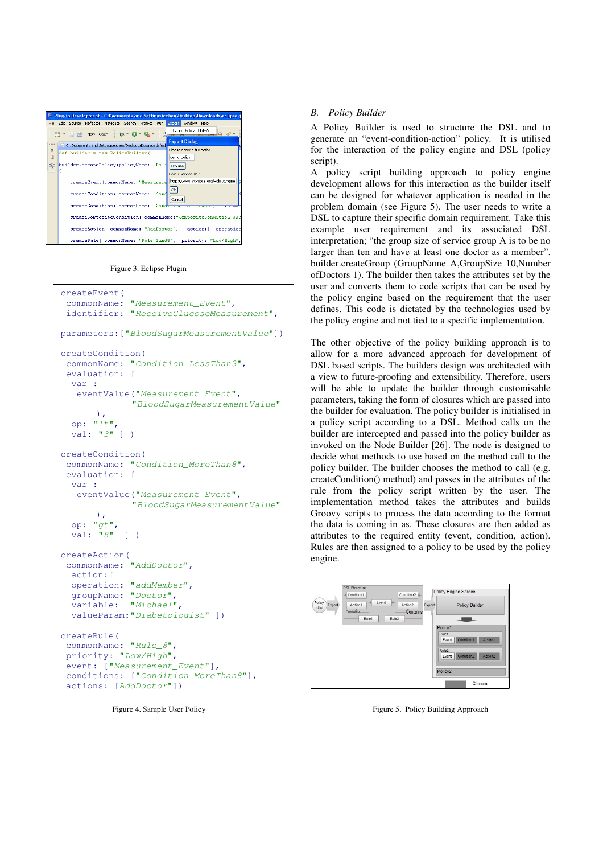| Plug-in Development - C:Documents and Settings\cchen\Desktop\Downloads\eclipse-j |                                            |
|----------------------------------------------------------------------------------|--------------------------------------------|
| File Edit Source Refactor Navigate Search Project Run Export Window Help         |                                            |
| Export Policy Ctrl+6<br><b>『 日白 New Open : な ・ Q ・ Q ・</b>                       |                                            |
| C:/Documents and Settings/cchen/Desktop/Downloads/ecli                           | <b>Export Dialog</b>                       |
| Đ<br>def builder = new PolicyBuilder()<br>師                                      | Please enter a file path:<br>demo.policy   |
| builder.createPolicy(policyName: "Poli<br>零                                      | Browse                                     |
|                                                                                  | Policy Service ID:                         |
| createEvent(commonName: "Measureme                                               | http://www.ist-more.org/PolicyEngine<br>0k |
| createCondition( commonName: "Cond                                               | Cancel                                     |
| createCondition( commonName: "Cond-                                              |                                            |
| createCompositeCondition( commonName: "CompositeCondition 3An                    |                                            |
| createAction(commonName: "AddDoctor", action:[ operation                         |                                            |
| createRule( commonName: "Rule 3And8", priority: "Low/High",                      |                                            |

Figure 3. Eclipse Plugin

```
createEvent( 
  commonName: "Measurement_Event", 
  identifier: "ReceiveGlucoseMeasurement", 
parameters:["BloodSugarMeasurementValue"]) 
createCondition( 
 commonName: "Condition LessThan3",
  evaluation: [ 
   var : 
    eventValue("Measurement_Event", 
              "BloodSugarMeasurementValue"
       ), 
   op: "lt", 
   val: "3" ] ) 
createCondition( 
 commonName: "Condition_MoreThan8", 
  evaluation: [ 
   var : 
    eventValue("Measurement_Event", 
              "BloodSugarMeasurementValue"
       ), 
   op: "gt", 
  val: "8" 1)
createAction( 
 commonName: "AddDoctor", 
   action:[ 
   operation: "addMember", 
   groupName: "Doctor", 
   variable: "Michael", 
   valueParam:"Diabetologist" ]) 
createRule( 
commonName: "Rule_8",
 priority: "Low/High", 
event: ["Measurement_Event"],
 conditions: ["Condition MoreThan8"],
 actions: [AddDoctor"])
```
Figure 4. Sample User Policy

## *B. Policy Builder*

A Policy Builder is used to structure the DSL and to generate an "event-condition-action" policy. It is utilised for the interaction of the policy engine and DSL (policy script).

A policy script building approach to policy engine development allows for this interaction as the builder itself can be designed for whatever application is needed in the problem domain (see Figure 5). The user needs to write a DSL to capture their specific domain requirement. Take this example user requirement and its associated DSL interpretation; "the group size of service group A is to be no larger than ten and have at least one doctor as a member". builder.createGroup (GroupName A,GroupSize 10,Number ofDoctors 1). The builder then takes the attributes set by the user and converts them to code scripts that can be used by the policy engine based on the requirement that the user defines. This code is dictated by the technologies used by the policy engine and not tied to a specific implementation.

The other objective of the policy building approach is to allow for a more advanced approach for development of DSL based scripts. The builders design was architected with a view to future-proofing and extensibility. Therefore, users will be able to update the builder through customisable parameters, taking the form of closures which are passed into the builder for evaluation. The policy builder is initialised in a policy script according to a DSL. Method calls on the builder are intercepted and passed into the policy builder as invoked on the Node Builder [26]. The node is designed to decide what methods to use based on the method call to the policy builder. The builder chooses the method to call (e.g. createCondition() method) and passes in the attributes of the rule from the policy script written by the user. The implementation method takes the attributes and builds Groovy scripts to process the data according to the format the data is coming in as. These closures are then added as attributes to the required entity (event, condition, action). Rules are then assigned to a policy to be used by the policy engine.



Figure 5. Policy Building Approach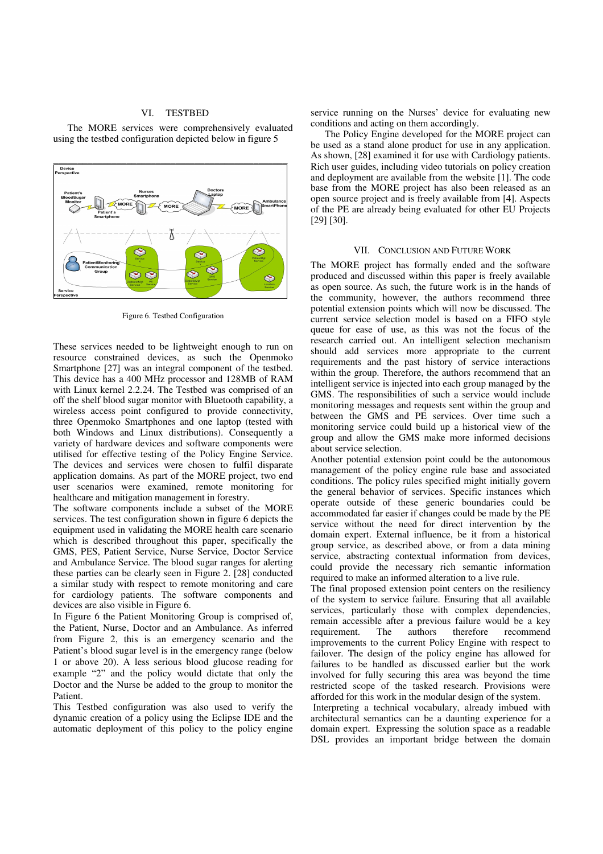## VI. TESTBED



The MORE services were comprehensively evaluated using the testbed configuration depicted below in figure 5

Figure 6. Testbed Configuration

These services needed to be lightweight enough to run on resource constrained devices, as such the Openmoko Smartphone [27] was an integral component of the testbed. This device has a 400 MHz processor and 128MB of RAM with Linux kernel 2.2.24. The Testbed was comprised of an off the shelf blood sugar monitor with Bluetooth capability, a wireless access point configured to provide connectivity, three Openmoko Smartphones and one laptop (tested with both Windows and Linux distributions). Consequently a variety of hardware devices and software components were utilised for effective testing of the Policy Engine Service. The devices and services were chosen to fulfil disparate application domains. As part of the MORE project, two end user scenarios were examined, remote monitoring for healthcare and mitigation management in forestry.

The software components include a subset of the MORE services. The test configuration shown in figure 6 depicts the equipment used in validating the MORE health care scenario which is described throughout this paper, specifically the GMS, PES, Patient Service, Nurse Service, Doctor Service and Ambulance Service. The blood sugar ranges for alerting these parties can be clearly seen in Figure 2. [28] conducted a similar study with respect to remote monitoring and care for cardiology patients. The software components and devices are also visible in Figure 6.

In Figure 6 the Patient Monitoring Group is comprised of, the Patient, Nurse, Doctor and an Ambulance. As inferred from Figure 2, this is an emergency scenario and the Patient's blood sugar level is in the emergency range (below 1 or above 20). A less serious blood glucose reading for example "2" and the policy would dictate that only the Doctor and the Nurse be added to the group to monitor the Patient.

This Testbed configuration was also used to verify the dynamic creation of a policy using the Eclipse IDE and the automatic deployment of this policy to the policy engine service running on the Nurses' device for evaluating new conditions and acting on them accordingly.

The Policy Engine developed for the MORE project can be used as a stand alone product for use in any application. As shown, [28] examined it for use with Cardiology patients. Rich user guides, including video tutorials on policy creation and deployment are available from the website [1]. The code base from the MORE project has also been released as an open source project and is freely available from [4]. Aspects of the PE are already being evaluated for other EU Projects [29] [30].

#### VII. CONCLUSION AND FUTURE WORK

The MORE project has formally ended and the software produced and discussed within this paper is freely available as open source. As such, the future work is in the hands of the community, however, the authors recommend three potential extension points which will now be discussed. The current service selection model is based on a FIFO style queue for ease of use, as this was not the focus of the research carried out. An intelligent selection mechanism should add services more appropriate to the current requirements and the past history of service interactions within the group. Therefore, the authors recommend that an intelligent service is injected into each group managed by the GMS. The responsibilities of such a service would include monitoring messages and requests sent within the group and between the GMS and PE services. Over time such a monitoring service could build up a historical view of the group and allow the GMS make more informed decisions about service selection.

Another potential extension point could be the autonomous management of the policy engine rule base and associated conditions. The policy rules specified might initially govern the general behavior of services. Specific instances which operate outside of these generic boundaries could be accommodated far easier if changes could be made by the PE service without the need for direct intervention by the domain expert. External influence, be it from a historical group service, as described above, or from a data mining service, abstracting contextual information from devices, could provide the necessary rich semantic information required to make an informed alteration to a live rule.

The final proposed extension point centers on the resiliency of the system to service failure. Ensuring that all available services, particularly those with complex dependencies, remain accessible after a previous failure would be a key requirement. The authors therefore recommend improvements to the current Policy Engine with respect to failover. The design of the policy engine has allowed for failures to be handled as discussed earlier but the work involved for fully securing this area was beyond the time restricted scope of the tasked research. Provisions were afforded for this work in the modular design of the system.

 Interpreting a technical vocabulary, already imbued with architectural semantics can be a daunting experience for a domain expert. Expressing the solution space as a readable DSL provides an important bridge between the domain